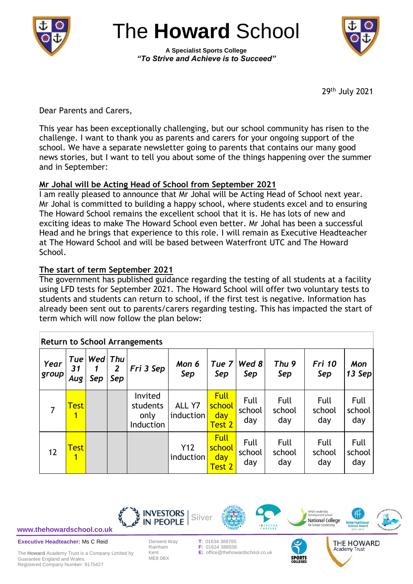

The **Howard** School

**A Specialist Sports College** *"To Strive and Achieve is to Succeed"*



29th July 2021

Academy Trust

Dear Parents and Carers,

This year has been exceptionally challenging, but our school community has risen to the challenge. I want to thank you as parents and carers for your ongoing support of the school. We have a separate newsletter going to parents that contains our many good news stories, but I want to tell you about some of the things happening over the summer and in September:

# **Mr Johal will be Acting Head of School from September 2021**

I am really pleased to announce that Mr Johal will be Acting Head of School next year. Mr Johal is committed to building a happy school, where students excel and to ensuring The Howard School remains the excellent school that it is. He has lots of new and exciting ideas to make The Howard School even better. Mr Johal has been a successful Head and he brings that experience to this role. I will remain as Executive Headteacher at The Howard School and will be based between Waterfront UTC and The Howard School.

## **The start of term September 2021**

The government has published guidance regarding the testing of all students at a facility using LFD tests for September 2021. The Howard School will offer two voluntary tests to students and students can return to school, if the first test is negative. Information has already been sent out to parents/carers regarding testing. This has impacted the start of term which will now follow the plan below:

| <b>Return to School Arrangements</b> |                  |                |                       |                                          |                     |                                        |                              |                         |                       |                       |  |
|--------------------------------------|------------------|----------------|-----------------------|------------------------------------------|---------------------|----------------------------------------|------------------------------|-------------------------|-----------------------|-----------------------|--|
| Year<br>group                        | Tue<br>31<br>Aug | Wed Thu<br>Sep | $\overline{2}$<br>Sep | Fri 3 Sep                                | Mon 6<br>Sep        | Tue 7<br>Sep                           | Wed 8<br>Sep                 | Thu <sub>9</sub><br>Sep | <b>Fri 10</b><br>Sep  | Mon<br>13 Sep $ $     |  |
|                                      | <b>Test</b><br>1 |                |                       | Invited<br>students<br>only<br>Induction | ALL Y7<br>induction | <b>Full</b><br>school<br>day<br>Test 2 | <b>Full</b><br>school<br>day | Full<br>school<br>day   | Full<br>school<br>day | Full<br>school<br>day |  |
| 12                                   | <b>Test</b><br>1 |                |                       |                                          | Y12<br>induction    | <b>Full</b><br>school<br>day<br>Test 2 | Full<br>school<br>day        | Full<br>school<br>day   | Full<br>school<br>day | Full<br>school<br>day |  |



**[www.thehowardschool.co.uk](http://www.thehowardschool.co.uk/)**

**Executive Headteacher:** Ms C Reid

The **Howard** Academy Trust is a Company Limited by Guarantee England and Wales. Registered Company Number: 9175427

Kent **E:** office@thehowardschool.co.uk ME8 0BX

**F: 01634 388558**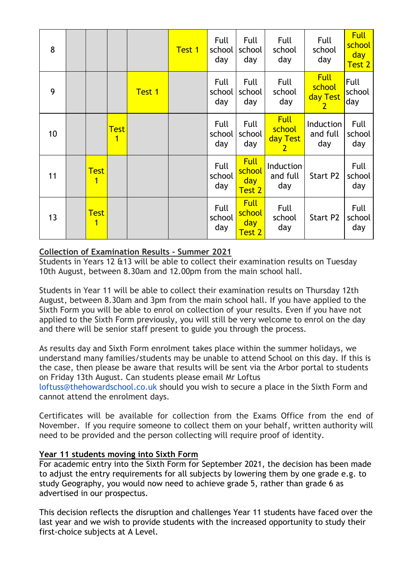| 8  |                                        |                  |               | Test 1 | Full<br>school<br>day | Full<br>school<br>day                  | Full<br>school<br>day                               | Full<br>school<br>day                               | <b>Full</b><br>school<br>day<br>Test 2 |
|----|----------------------------------------|------------------|---------------|--------|-----------------------|----------------------------------------|-----------------------------------------------------|-----------------------------------------------------|----------------------------------------|
| 9  |                                        |                  | <b>Test 1</b> |        | Full<br>school<br>day | Full<br>school<br>day                  | Full<br>school<br>day                               | <b>Full</b><br>school<br>day Test<br>2 <sub>1</sub> | Full<br>school<br>day                  |
| 10 |                                        | <b>Test</b><br>1 |               |        | Full<br>school<br>day | Full<br>school<br>day                  | <b>Full</b><br>school<br>day Test<br>$\overline{2}$ | Induction<br>and full<br>day                        | Full<br>school<br>day                  |
| 11 | <b>Test</b><br>$\overline{\mathbf{1}}$ |                  |               |        | Full<br>school<br>day | <b>Full</b><br>school<br>day<br>Test 2 | Induction<br>and full<br>day                        | Start P2                                            | Full<br>school<br>day                  |
| 13 | <b>Test</b><br>$\overline{\mathbf{1}}$ |                  |               |        | Full<br>school<br>day | <b>Full</b><br>school<br>day<br>Test 2 | Full<br>school<br>day                               | Start P2                                            | Full<br>school<br>day                  |

### **Collection of Examination Results - Summer 2021**

Students in Years 12 &13 will be able to collect their examination results on Tuesday 10th August, between 8.30am and 12.00pm from the main school hall.

Students in Year 11 will be able to collect their examination results on Thursday 12th August, between 8.30am and 3pm from the main school hall. If you have applied to the Sixth Form you will be able to enrol on collection of your results. Even if you have not applied to the Sixth Form previously, you will still be very welcome to enrol on the day and there will be senior staff present to guide you through the process.

As results day and Sixth Form enrolment takes place within the summer holidays, we understand many families/students may be unable to attend School on this day. If this is the case, then please be aware that results will be sent via the Arbor portal to students on Friday 13th August. Can students please email Mr Loftus loftuss@thehowardschool.co.uk should you wish to secure a place in the Sixth Form and

cannot attend the enrolment days.

Certificates will be available for collection from the Exams Office from the end of November. If you require someone to collect them on your behalf, written authority will need to be provided and the person collecting will require proof of identity.

#### **Year 11 students moving into Sixth Form**

For academic entry into the Sixth Form for September 2021, the decision has been made to adjust the entry requirements for all subjects by lowering them by one grade e.g. to study Geography, you would now need to achieve grade 5, rather than grade 6 as advertised in our prospectus.

This decision reflects the disruption and challenges Year 11 students have faced over the last year and we wish to provide students with the increased opportunity to study their first-choice subjects at A Level.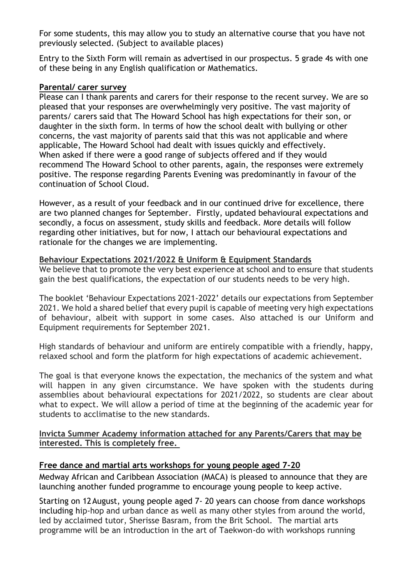For some students, this may allow you to study an alternative course that you have not previously selected. (Subject to available places)

Entry to the Sixth Form will remain as advertised in our prospectus. 5 grade 4s with one of these being in any English qualification or Mathematics.

#### **Parental/ carer survey**

Please can I thank parents and carers for their response to the recent survey. We are so pleased that your responses are overwhelmingly very positive. The vast majority of parents/ carers said that The Howard School has high expectations for their son, or daughter in the sixth form. In terms of how the school dealt with bullying or other concerns, the vast majority of parents said that this was not applicable and where applicable, The Howard School had dealt with issues quickly and effectively. When asked if there were a good range of subjects offered and if they would recommend The Howard School to other parents, again, the responses were extremely positive. The response regarding Parents Evening was predominantly in favour of the continuation of School Cloud.

However, as a result of your feedback and in our continued drive for excellence, there are two planned changes for September. Firstly, updated behavioural expectations and secondly, a focus on assessment, study skills and feedback. More details will follow regarding other initiatives, but for now, I attach our behavioural expectations and rationale for the changes we are implementing.

#### **Behaviour Expectations 2021/2022 & Uniform & Equipment Standards**

We believe that to promote the very best experience at school and to ensure that students gain the best qualifications, the expectation of our students needs to be very high.

The booklet 'Behaviour Expectations 2021-2022' details our expectations from September 2021. We hold a shared belief that every pupil is capable of meeting very high expectations of behaviour, albeit with support in some cases. Also attached is our Uniform and Equipment requirements for September 2021.

High standards of behaviour and uniform are entirely compatible with a friendly, happy, relaxed school and form the platform for high expectations of academic achievement.

The goal is that everyone knows the expectation, the mechanics of the system and what will happen in any given circumstance. We have spoken with the students during assemblies about behavioural expectations for 2021/2022, so students are clear about what to expect. We will allow a period of time at the beginning of the academic year for students to acclimatise to the new standards.

#### **Invicta Summer Academy information attached for any Parents/Carers that may be interested. This is completely free.**

#### **Free dance and martial arts workshops for young people aged 7-20**

Medway African and Caribbean Association (MACA) is pleased to announce that they are launching another funded programme to encourage young people to keep active.

Starting on 12August, young people aged 7- 20 years can choose from dance workshops including hip-hop and urban dance as well as many other styles from around the world, led by acclaimed tutor, Sherisse Basram, from the Brit School. The martial arts programme will be an introduction in the art of Taekwon-do with workshops running